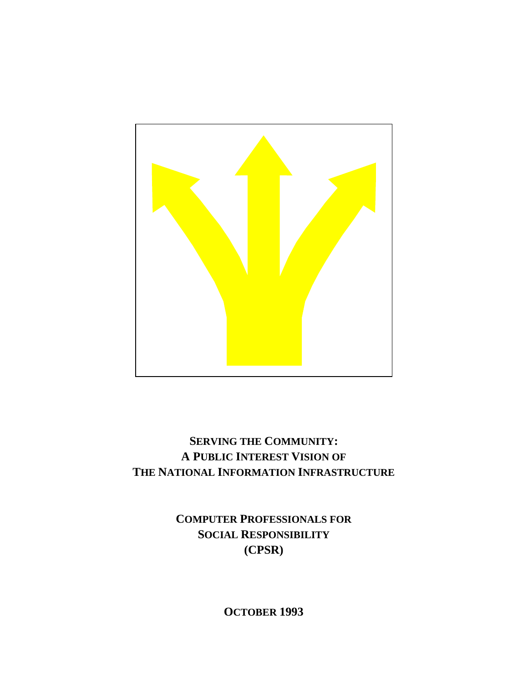

# **SERVING THE COMMUNITY: A PUBLIC INTEREST VISION OF THE NATIONAL INFORMATION INFRASTRUCTURE**

**COMPUTER PROFESSIONALS FOR SOCIAL RESPONSIBILITY (CPSR)**

**OCTOBER 1993**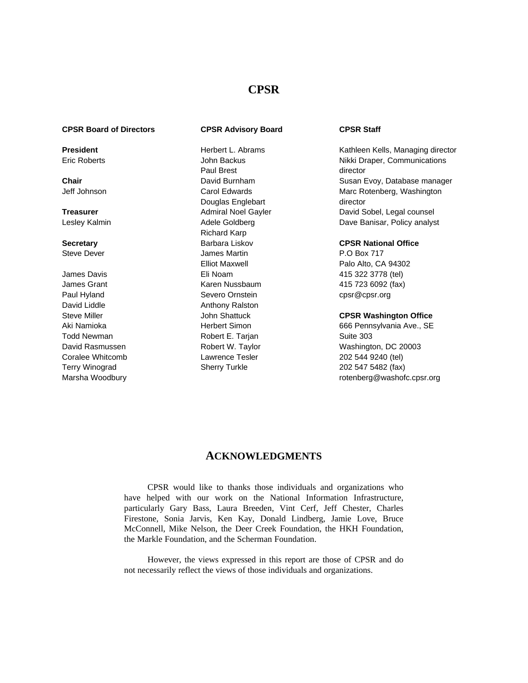## **CPSR**

#### **CPSR Board of Directors**

**President** Eric Roberts

**Chair** Jeff Johnson

**Treasurer** Lesley Kalmin

#### **Secretary** Steve Dever

James Davis James Grant Paul Hyland David Liddle Steve Miller Aki Namioka Todd Newman David Rasmussen Coralee Whitcomb Terry Winograd Marsha Woodbury

#### **CPSR Advisory Board**

Herbert L. Abrams John Backus Paul Brest David Burnham Carol Edwards Douglas Englebart Admiral Noel Gayler Adele Goldberg Richard Karp Barbara Liskov James Martin Elliot Maxwell Eli Noam Karen Nussbaum Severo Ornstein Anthony Ralston John Shattuck Herbert Simon Robert E. Tarjan Robert W. Taylor Lawrence Tesler Sherry Turkle

#### **CPSR Staff**

Kathleen Kells, Managing director Nikki Draper, Communications director Susan Evoy, Database manager Marc Rotenberg, Washington director David Sobel, Legal counsel Dave Banisar, Policy analyst

#### **CPSR National Office**

P.O Box 717 Palo Alto, CA 94302 415 322 3778 (tel) 415 723 6092 (fax) cpsr@cpsr.org

#### **CPSR Washington Office**

666 Pennsylvania Ave., SE Suite 303 Washington, DC 20003 202 544 9240 (tel) 202 547 5482 (fax) rotenberg@washofc.cpsr.org

### **ACKNOWLEDGMENTS**

CPSR would like to thanks those individuals and organizations who have helped with our work on the National Information Infrastructure, particularly Gary Bass, Laura Breeden, Vint Cerf, Jeff Chester, Charles Firestone, Sonia Jarvis, Ken Kay, Donald Lindberg, Jamie Love, Bruce McConnell, Mike Nelson, the Deer Creek Foundation, the HKH Foundation, the Markle Foundation, and the Scherman Foundation.

However, the views expressed in this report are those of CPSR and do not necessarily reflect the views of those individuals and organizations.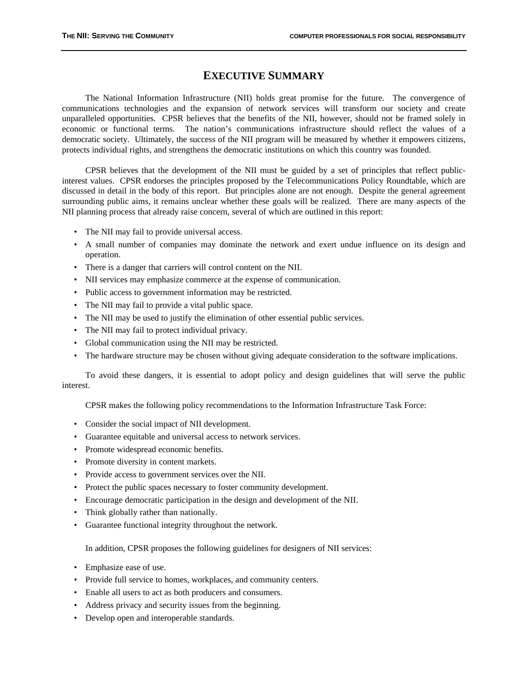## **EXECUTIVE SUMMARY**

The National Information Infrastructure (NII) holds great promise for the future. The convergence of communications technologies and the expansion of network services will transform our society and create unparalleled opportunities. CPSR believes that the benefits of the NII, however, should not be framed solely in economic or functional terms. The nation's communications infrastructure should reflect the values of a democratic society. Ultimately, the success of the NII program will be measured by whether it empowers citizens, protects individual rights, and strengthens the democratic institutions on which this country was founded.

CPSR believes that the development of the NII must be guided by a set of principles that reflect publicinterest values. CPSR endorses the principles proposed by the Telecommunications Policy Roundtable, which are discussed in detail in the body of this report. But principles alone are not enough. Despite the general agreement surrounding public aims, it remains unclear whether these goals will be realized. There are many aspects of the NII planning process that already raise concern, several of which are outlined in this report:

- The NII may fail to provide universal access.
- A small number of companies may dominate the network and exert undue influence on its design and operation.
- There is a danger that carriers will control content on the NII.
- NII services may emphasize commerce at the expense of communication.
- Public access to government information may be restricted.
- The NII may fail to provide a vital public space.
- The NII may be used to justify the elimination of other essential public services.
- The NII may fail to protect individual privacy.
- Global communication using the NII may be restricted.
- The hardware structure may be chosen without giving adequate consideration to the software implications.

To avoid these dangers, it is essential to adopt policy and design guidelines that will serve the public interest.

CPSR makes the following policy recommendations to the Information Infrastructure Task Force:

- Consider the social impact of NII development.
- Guarantee equitable and universal access to network services.
- Promote widespread economic benefits.
- Promote diversity in content markets.
- Provide access to government services over the NII.
- Protect the public spaces necessary to foster community development.
- Encourage democratic participation in the design and development of the NII.
- Think globally rather than nationally.
- Guarantee functional integrity throughout the network.

In addition, CPSR proposes the following guidelines for designers of NII services:

- Emphasize ease of use.
- Provide full service to homes, workplaces, and community centers.
- Enable all users to act as both producers and consumers.
- Address privacy and security issues from the beginning.
- Develop open and interoperable standards.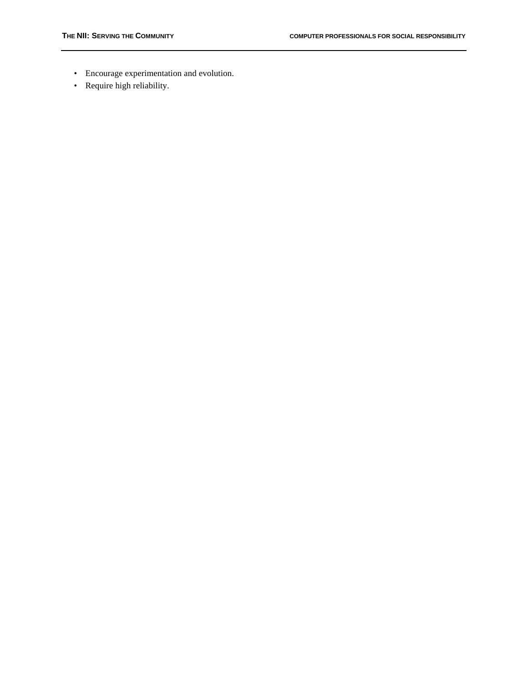- Encourage experimentation and evolution.
- Require high reliability.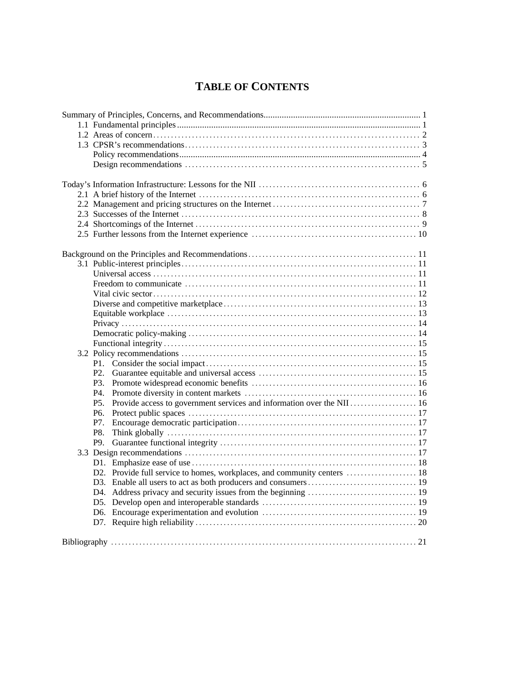# **TABLE OF CONTENTS**

| P3.                                                                                        |  |
|--------------------------------------------------------------------------------------------|--|
| P4.                                                                                        |  |
| Provide access to government services and information over the NII  16<br>P <sub>5</sub> . |  |
| P6.                                                                                        |  |
| P7.                                                                                        |  |
| P8.                                                                                        |  |
| P9.                                                                                        |  |
|                                                                                            |  |
|                                                                                            |  |
|                                                                                            |  |
|                                                                                            |  |
|                                                                                            |  |
|                                                                                            |  |
|                                                                                            |  |
|                                                                                            |  |
|                                                                                            |  |
|                                                                                            |  |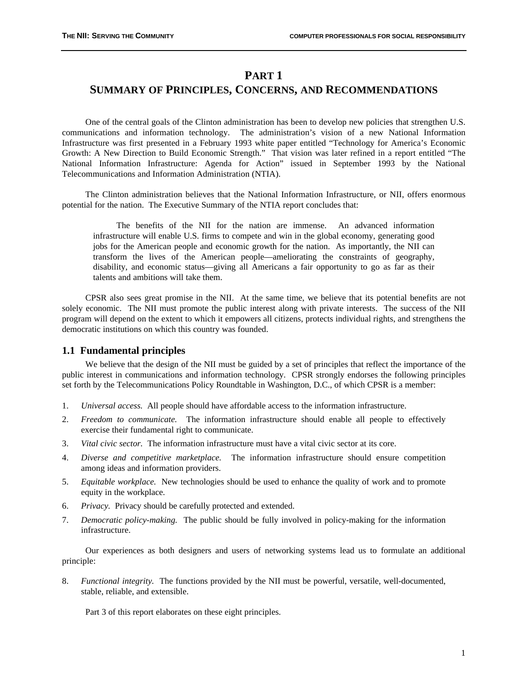### **PART 1**

## **SUMMARY OF PRINCIPLES, CONCERNS, AND RECOMMENDATIONS**

One of the central goals of the Clinton administration has been to develop new policies that strengthen U.S. communications and information technology. The administration's vision of a new National Information Infrastructure was first presented in a February 1993 white paper entitled "Technology for America's Economic Growth: A New Direction to Build Economic Strength." That vision was later refined in a report entitled "The National Information Infrastructure: Agenda for Action" issued in September 1993 by the National Telecommunications and Information Administration (NTIA).

The Clinton administration believes that the National Information Infrastructure, or NII, offers enormous potential for the nation. The Executive Summary of the NTIA report concludes that:

The benefits of the NII for the nation are immense. An advanced information infrastructure will enable U.S. firms to compete and win in the global economy, generating good jobs for the American people and economic growth for the nation. As importantly, the NII can transform the lives of the American people—ameliorating the constraints of geography, disability, and economic status—giving all Americans a fair opportunity to go as far as their talents and ambitions will take them.

CPSR also sees great promise in the NII. At the same time, we believe that its potential benefits are not solely economic. The NII must promote the public interest along with private interests. The success of the NII program will depend on the extent to which it empowers all citizens, protects individual rights, and strengthens the democratic institutions on which this country was founded.

### **1.1 Fundamental principles**

We believe that the design of the NII must be guided by a set of principles that reflect the importance of the public interest in communications and information technology. CPSR strongly endorses the following principles set forth by the Telecommunications Policy Roundtable in Washington, D.C., of which CPSR is a member:

- 1. *Universal access.* All people should have affordable access to the information infrastructure.
- 2. *Freedom to communicate.* The information infrastructure should enable all people to effectively exercise their fundamental right to communicate.
- 3. *Vital civic sector.* The information infrastructure must have a vital civic sector at its core.
- 4. *Diverse and competitive marketplace.* The information infrastructure should ensure competition among ideas and information providers.
- 5. *Equitable workplace.* New technologies should be used to enhance the quality of work and to promote equity in the workplace.
- 6. *Privacy.* Privacy should be carefully protected and extended.
- 7. *Democratic policy-making.* The public should be fully involved in policy-making for the information infrastructure.

Our experiences as both designers and users of networking systems lead us to formulate an additional principle:

8. *Functional integrity.* The functions provided by the NII must be powerful, versatile, well-documented, stable, reliable, and extensible.

Part 3 of this report elaborates on these eight principles.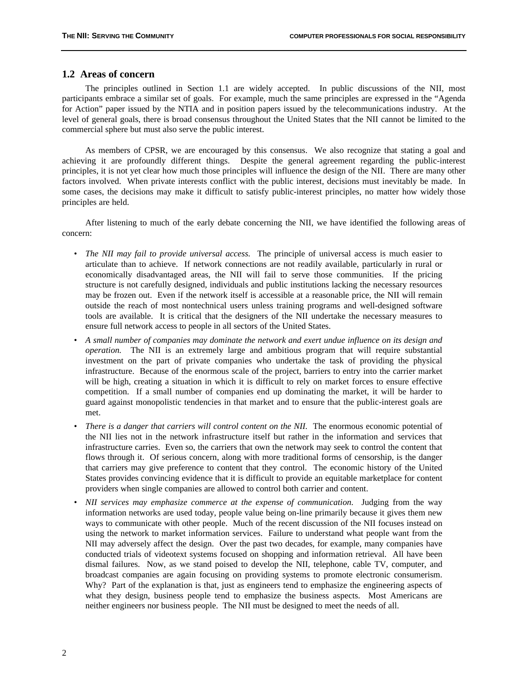#### **1.2 Areas of concern**

The principles outlined in Section 1.1 are widely accepted. In public discussions of the NII, most participants embrace a similar set of goals. For example, much the same principles are expressed in the "Agenda for Action" paper issued by the NTIA and in position papers issued by the telecommunications industry. At the level of general goals, there is broad consensus throughout the United States that the NII cannot be limited to the commercial sphere but must also serve the public interest.

As members of CPSR, we are encouraged by this consensus. We also recognize that stating a goal and achieving it are profoundly different things. Despite the general agreement regarding the public-interest principles, it is not yet clear how much those principles will influence the design of the NII. There are many other factors involved. When private interests conflict with the public interest, decisions must inevitably be made. In some cases, the decisions may make it difficult to satisfy public-interest principles, no matter how widely those principles are held.

After listening to much of the early debate concerning the NII, we have identified the following areas of concern:

- *The NII may fail to provide universal access.* The principle of universal access is much easier to articulate than to achieve. If network connections are not readily available, particularly in rural or economically disadvantaged areas, the NII will fail to serve those communities. If the pricing structure is not carefully designed, individuals and public institutions lacking the necessary resources may be frozen out. Even if the network itself is accessible at a reasonable price, the NII will remain outside the reach of most nontechnical users unless training programs and well-designed software tools are available. It is critical that the designers of the NII undertake the necessary measures to ensure full network access to people in all sectors of the United States.
- *A small number of companies may dominate the network and exert undue influence on its design and operation.* The NII is an extremely large and ambitious program that will require substantial investment on the part of private companies who undertake the task of providing the physical infrastructure. Because of the enormous scale of the project, barriers to entry into the carrier market will be high, creating a situation in which it is difficult to rely on market forces to ensure effective competition. If a small number of companies end up dominating the market, it will be harder to guard against monopolistic tendencies in that market and to ensure that the public-interest goals are met.
- There is a danger that carriers will control content on the NII. The enormous economic potential of the NII lies not in the network infrastructure itself but rather in the information and services that infrastructure carries. Even so, the carriers that own the network may seek to control the content that flows through it. Of serious concern, along with more traditional forms of censorship, is the danger that carriers may give preference to content that they control. The economic history of the United States provides convincing evidence that it is difficult to provide an equitable marketplace for content providers when single companies are allowed to control both carrier and content.
- *NII services may emphasize commerce at the expense of communication.* Judging from the way information networks are used today, people value being on-line primarily because it gives them new ways to communicate with other people. Much of the recent discussion of the NII focuses instead on using the network to market information services. Failure to understand what people want from the NII may adversely affect the design. Over the past two decades, for example, many companies have conducted trials of videotext systems focused on shopping and information retrieval. All have been dismal failures. Now, as we stand poised to develop the NII, telephone, cable TV, computer, and broadcast companies are again focusing on providing systems to promote electronic consumerism. Why? Part of the explanation is that, just as engineers tend to emphasize the engineering aspects of what they design, business people tend to emphasize the business aspects. Most Americans are neither engineers nor business people. The NII must be designed to meet the needs of all.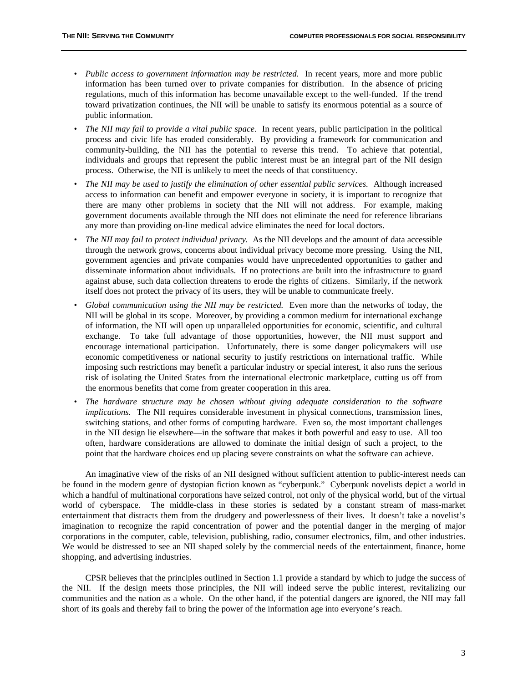- *Public access to government information may be restricted.* In recent years, more and more public information has been turned over to private companies for distribution. In the absence of pricing regulations, much of this information has become unavailable except to the well-funded. If the trend toward privatization continues, the NII will be unable to satisfy its enormous potential as a source of public information.
- *The NII may fail to provide a vital public space.* In recent years, public participation in the political process and civic life has eroded considerably. By providing a framework for communication and community-building, the NII has the potential to reverse this trend. To achieve that potential, individuals and groups that represent the public interest must be an integral part of the NII design process. Otherwise, the NII is unlikely to meet the needs of that constituency.
- *The NII may be used to justify the elimination of other essential public services.* Although increased access to information can benefit and empower everyone in society, it is important to recognize that there are many other problems in society that the NII will not address. For example, making government documents available through the NII does not eliminate the need for reference librarians any more than providing on-line medical advice eliminates the need for local doctors.
- *The NII may fail to protect individual privacy.* As the NII develops and the amount of data accessible through the network grows, concerns about individual privacy become more pressing. Using the NII, government agencies and private companies would have unprecedented opportunities to gather and disseminate information about individuals. If no protections are built into the infrastructure to guard against abuse, such data collection threatens to erode the rights of citizens. Similarly, if the network itself does not protect the privacy of its users, they will be unable to communicate freely.
- *Global communication using the NII may be restricted.* Even more than the networks of today, the NII will be global in its scope. Moreover, by providing a common medium for international exchange of information, the NII will open up unparalleled opportunities for economic, scientific, and cultural exchange. To take full advantage of those opportunities, however, the NII must support and encourage international participation. Unfortunately, there is some danger policymakers will use economic competitiveness or national security to justify restrictions on international traffic. While imposing such restrictions may benefit a particular industry or special interest, it also runs the serious risk of isolating the United States from the international electronic marketplace, cutting us off from the enormous benefits that come from greater cooperation in this area.
- *The hardware structure may be chosen without giving adequate consideration to the software implications.* The NII requires considerable investment in physical connections, transmission lines, switching stations, and other forms of computing hardware. Even so, the most important challenges in the NII design lie elsewhere—in the software that makes it both powerful and easy to use. All too often, hardware considerations are allowed to dominate the initial design of such a project, to the point that the hardware choices end up placing severe constraints on what the software can achieve.

An imaginative view of the risks of an NII designed without sufficient attention to public-interest needs can be found in the modern genre of dystopian fiction known as "cyberpunk." Cyberpunk novelists depict a world in which a handful of multinational corporations have seized control, not only of the physical world, but of the virtual world of cyberspace. The middle-class in these stories is sedated by a constant stream of mass-market entertainment that distracts them from the drudgery and powerlessness of their lives. It doesn't take a novelist's imagination to recognize the rapid concentration of power and the potential danger in the merging of major corporations in the computer, cable, television, publishing, radio, consumer electronics, film, and other industries. We would be distressed to see an NII shaped solely by the commercial needs of the entertainment, finance, home shopping, and advertising industries.

CPSR believes that the principles outlined in Section 1.1 provide a standard by which to judge the success of the NII. If the design meets those principles, the NII will indeed serve the public interest, revitalizing our communities and the nation as a whole. On the other hand, if the potential dangers are ignored, the NII may fall short of its goals and thereby fail to bring the power of the information age into everyone's reach.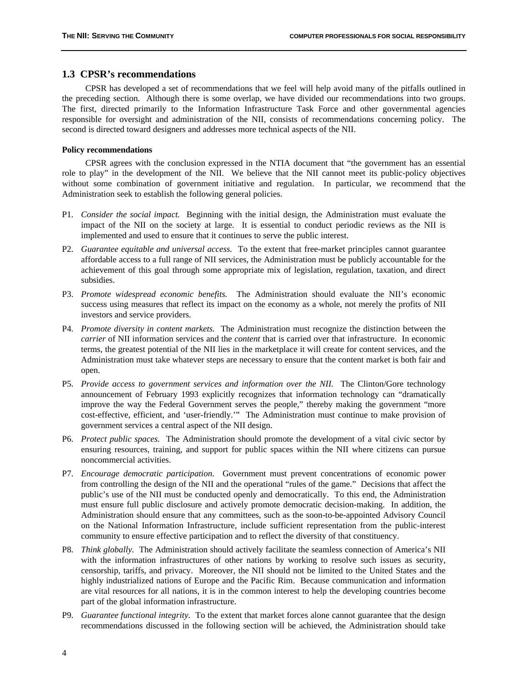#### **1.3 CPSR's recommendations**

CPSR has developed a set of recommendations that we feel will help avoid many of the pitfalls outlined in the preceding section. Although there is some overlap, we have divided our recommendations into two groups. The first, directed primarily to the Information Infrastructure Task Force and other governmental agencies responsible for oversight and administration of the NII, consists of recommendations concerning policy. The second is directed toward designers and addresses more technical aspects of the NII.

#### **Policy recommendations**

CPSR agrees with the conclusion expressed in the NTIA document that "the government has an essential role to play" in the development of the NII. We believe that the NII cannot meet its public-policy objectives without some combination of government initiative and regulation. In particular, we recommend that the Administration seek to establish the following general policies.

- P1. *Consider the social impact.* Beginning with the initial design, the Administration must evaluate the impact of the NII on the society at large. It is essential to conduct periodic reviews as the NII is implemented and used to ensure that it continues to serve the public interest.
- P2. *Guarantee equitable and universal access.* To the extent that free-market principles cannot guarantee affordable access to a full range of NII services, the Administration must be publicly accountable for the achievement of this goal through some appropriate mix of legislation, regulation, taxation, and direct subsidies.
- P3. *Promote widespread economic benefits.* The Administration should evaluate the NII's economic success using measures that reflect its impact on the economy as a whole, not merely the profits of NII investors and service providers.
- P4. *Promote diversity in content markets.* The Administration must recognize the distinction between the *carrier* of NII information services and the *content* that is carried over that infrastructure. In economic terms, the greatest potential of the NII lies in the marketplace it will create for content services, and the Administration must take whatever steps are necessary to ensure that the content market is both fair and open.
- P5. *Provide access to government services and information over the NII.* The Clinton/Gore technology announcement of February 1993 explicitly recognizes that information technology can "dramatically improve the way the Federal Government serves the people," thereby making the government "more cost-effective, efficient, and 'user-friendly.'" The Administration must continue to make provision of government services a central aspect of the NII design.
- P6. *Protect public spaces.* The Administration should promote the development of a vital civic sector by ensuring resources, training, and support for public spaces within the NII where citizens can pursue noncommercial activities.
- P7. *Encourage democratic participation.* Government must prevent concentrations of economic power from controlling the design of the NII and the operational "rules of the game." Decisions that affect the public's use of the NII must be conducted openly and democratically. To this end, the Administration must ensure full public disclosure and actively promote democratic decision-making. In addition, the Administration should ensure that any committees, such as the soon-to-be-appointed Advisory Council on the National Information Infrastructure, include sufficient representation from the public-interest community to ensure effective participation and to reflect the diversity of that constituency.
- P8. *Think globally.* The Administration should actively facilitate the seamless connection of America's NII with the information infrastructures of other nations by working to resolve such issues as security, censorship, tariffs, and privacy. Moreover, the NII should not be limited to the United States and the highly industrialized nations of Europe and the Pacific Rim. Because communication and information are vital resources for all nations, it is in the common interest to help the developing countries become part of the global information infrastructure.
- P9. *Guarantee functional integrity.* To the extent that market forces alone cannot guarantee that the design recommendations discussed in the following section will be achieved, the Administration should take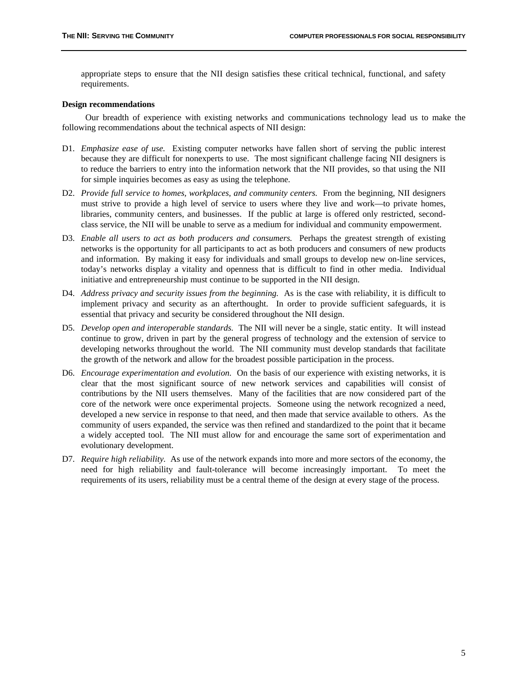appropriate steps to ensure that the NII design satisfies these critical technical, functional, and safety requirements.

#### **Design recommendations**

Our breadth of experience with existing networks and communications technology lead us to make the following recommendations about the technical aspects of NII design:

- D1. *Emphasize ease of use.* Existing computer networks have fallen short of serving the public interest because they are difficult for nonexperts to use. The most significant challenge facing NII designers is to reduce the barriers to entry into the information network that the NII provides, so that using the NII for simple inquiries becomes as easy as using the telephone.
- D2. *Provide full service to homes, workplaces, and community centers.* From the beginning, NII designers must strive to provide a high level of service to users where they live and work—to private homes, libraries, community centers, and businesses. If the public at large is offered only restricted, secondclass service, the NII will be unable to serve as a medium for individual and community empowerment.
- D3. *Enable all users to act as both producers and consumers.* Perhaps the greatest strength of existing networks is the opportunity for all participants to act as both producers and consumers of new products and information. By making it easy for individuals and small groups to develop new on-line services, today's networks display a vitality and openness that is difficult to find in other media. Individual initiative and entrepreneurship must continue to be supported in the NII design.
- D4. *Address privacy and security issues from the beginning.* As is the case with reliability, it is difficult to implement privacy and security as an afterthought. In order to provide sufficient safeguards, it is essential that privacy and security be considered throughout the NII design.
- D5. *Develop open and interoperable standards.* The NII will never be a single, static entity. It will instead continue to grow, driven in part by the general progress of technology and the extension of service to developing networks throughout the world. The NII community must develop standards that facilitate the growth of the network and allow for the broadest possible participation in the process.
- D6. *Encourage experimentation and evolution.* On the basis of our experience with existing networks, it is clear that the most significant source of new network services and capabilities will consist of contributions by the NII users themselves. Many of the facilities that are now considered part of the core of the network were once experimental projects. Someone using the network recognized a need, developed a new service in response to that need, and then made that service available to others. As the community of users expanded, the service was then refined and standardized to the point that it became a widely accepted tool. The NII must allow for and encourage the same sort of experimentation and evolutionary development.
- D7. *Require high reliability.* As use of the network expands into more and more sectors of the economy, the need for high reliability and fault-tolerance will become increasingly important. To meet the requirements of its users, reliability must be a central theme of the design at every stage of the process.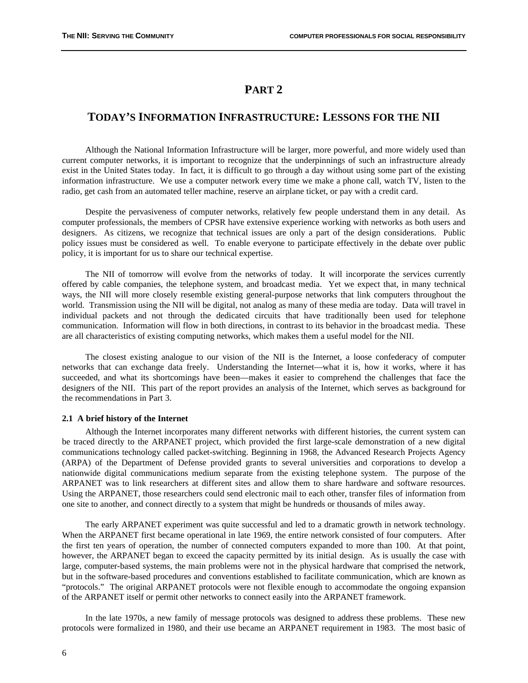## **PART 2**

### **TODAY'S INFORMATION INFRASTRUCTURE: LESSONS FOR THE NII**

Although the National Information Infrastructure will be larger, more powerful, and more widely used than current computer networks, it is important to recognize that the underpinnings of such an infrastructure already exist in the United States today. In fact, it is difficult to go through a day without using some part of the existing information infrastructure. We use a computer network every time we make a phone call, watch TV, listen to the radio, get cash from an automated teller machine, reserve an airplane ticket, or pay with a credit card.

Despite the pervasiveness of computer networks, relatively few people understand them in any detail. As computer professionals, the members of CPSR have extensive experience working with networks as both users and designers. As citizens, we recognize that technical issues are only a part of the design considerations. Public policy issues must be considered as well. To enable everyone to participate effectively in the debate over public policy, it is important for us to share our technical expertise.

The NII of tomorrow will evolve from the networks of today. It will incorporate the services currently offered by cable companies, the telephone system, and broadcast media. Yet we expect that, in many technical ways, the NII will more closely resemble existing general-purpose networks that link computers throughout the world. Transmission using the NII will be digital, not analog as many of these media are today. Data will travel in individual packets and not through the dedicated circuits that have traditionally been used for telephone communication. Information will flow in both directions, in contrast to its behavior in the broadcast media. These are all characteristics of existing computing networks, which makes them a useful model for the NII.

The closest existing analogue to our vision of the NII is the Internet, a loose confederacy of computer networks that can exchange data freely. Understanding the Internet—what it is, how it works, where it has succeeded, and what its shortcomings have been—makes it easier to comprehend the challenges that face the designers of the NII. This part of the report provides an analysis of the Internet, which serves as background for the recommendations in Part 3.

#### **2.1 A brief history of the Internet**

Although the Internet incorporates many different networks with different histories, the current system can be traced directly to the ARPANET project, which provided the first large-scale demonstration of a new digital communications technology called packet-switching. Beginning in 1968, the Advanced Research Projects Agency (ARPA) of the Department of Defense provided grants to several universities and corporations to develop a nationwide digital communications medium separate from the existing telephone system. The purpose of the ARPANET was to link researchers at different sites and allow them to share hardware and software resources. Using the ARPANET, those researchers could send electronic mail to each other, transfer files of information from one site to another, and connect directly to a system that might be hundreds or thousands of miles away.

The early ARPANET experiment was quite successful and led to a dramatic growth in network technology. When the ARPANET first became operational in late 1969, the entire network consisted of four computers. After the first ten years of operation, the number of connected computers expanded to more than 100. At that point, however, the ARPANET began to exceed the capacity permitted by its initial design. As is usually the case with large, computer-based systems, the main problems were not in the physical hardware that comprised the network, but in the software-based procedures and conventions established to facilitate communication, which are known as "protocols." The original ARPANET protocols were not flexible enough to accommodate the ongoing expansion of the ARPANET itself or permit other networks to connect easily into the ARPANET framework.

In the late 1970s, a new family of message protocols was designed to address these problems. These new protocols were formalized in 1980, and their use became an ARPANET requirement in 1983. The most basic of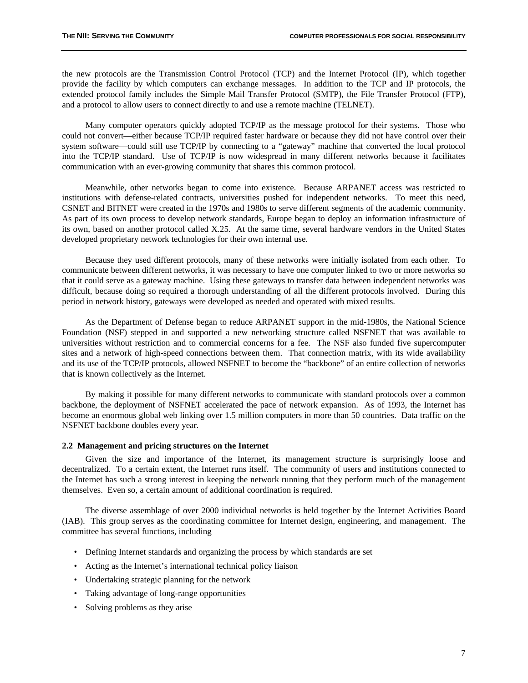the new protocols are the Transmission Control Protocol (TCP) and the Internet Protocol (IP), which together provide the facility by which computers can exchange messages. In addition to the TCP and IP protocols, the extended protocol family includes the Simple Mail Transfer Protocol (SMTP), the File Transfer Protocol (FTP), and a protocol to allow users to connect directly to and use a remote machine (TELNET).

Many computer operators quickly adopted TCP/IP as the message protocol for their systems. Those who could not convert—either because TCP/IP required faster hardware or because they did not have control over their system software—could still use TCP/IP by connecting to a "gateway" machine that converted the local protocol into the TCP/IP standard. Use of TCP/IP is now widespread in many different networks because it facilitates communication with an ever-growing community that shares this common protocol.

Meanwhile, other networks began to come into existence. Because ARPANET access was restricted to institutions with defense-related contracts, universities pushed for independent networks. To meet this need, CSNET and BITNET were created in the 1970s and 1980s to serve different segments of the academic community. As part of its own process to develop network standards, Europe began to deploy an information infrastructure of its own, based on another protocol called X.25. At the same time, several hardware vendors in the United States developed proprietary network technologies for their own internal use.

Because they used different protocols, many of these networks were initially isolated from each other. To communicate between different networks, it was necessary to have one computer linked to two or more networks so that it could serve as a gateway machine. Using these gateways to transfer data between independent networks was difficult, because doing so required a thorough understanding of all the different protocols involved. During this period in network history, gateways were developed as needed and operated with mixed results.

As the Department of Defense began to reduce ARPANET support in the mid-1980s, the National Science Foundation (NSF) stepped in and supported a new networking structure called NSFNET that was available to universities without restriction and to commercial concerns for a fee. The NSF also funded five supercomputer sites and a network of high-speed connections between them. That connection matrix, with its wide availability and its use of the TCP/IP protocols, allowed NSFNET to become the "backbone" of an entire collection of networks that is known collectively as the Internet.

By making it possible for many different networks to communicate with standard protocols over a common backbone, the deployment of NSFNET accelerated the pace of network expansion. As of 1993, the Internet has become an enormous global web linking over 1.5 million computers in more than 50 countries. Data traffic on the NSFNET backbone doubles every year.

#### **2.2 Management and pricing structures on the Internet**

Given the size and importance of the Internet, its management structure is surprisingly loose and decentralized. To a certain extent, the Internet runs itself. The community of users and institutions connected to the Internet has such a strong interest in keeping the network running that they perform much of the management themselves. Even so, a certain amount of additional coordination is required.

The diverse assemblage of over 2000 individual networks is held together by the Internet Activities Board (IAB). This group serves as the coordinating committee for Internet design, engineering, and management. The committee has several functions, including

- Defining Internet standards and organizing the process by which standards are set
- Acting as the Internet's international technical policy liaison
- Undertaking strategic planning for the network
- Taking advantage of long-range opportunities
- Solving problems as they arise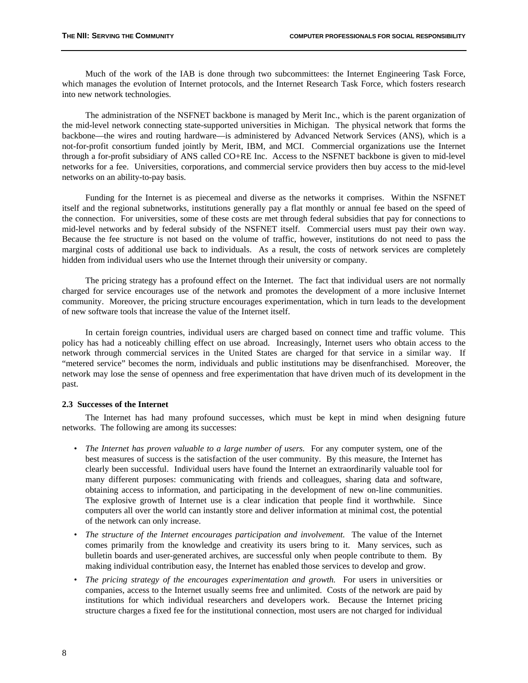Much of the work of the IAB is done through two subcommittees: the Internet Engineering Task Force, which manages the evolution of Internet protocols, and the Internet Research Task Force, which fosters research into new network technologies.

The administration of the NSFNET backbone is managed by Merit Inc., which is the parent organization of the mid-level network connecting state-supported universities in Michigan. The physical network that forms the backbone—the wires and routing hardware—is administered by Advanced Network Services (ANS), which is a not-for-profit consortium funded jointly by Merit, IBM, and MCI. Commercial organizations use the Internet through a for-profit subsidiary of ANS called CO+RE Inc. Access to the NSFNET backbone is given to mid-level networks for a fee. Universities, corporations, and commercial service providers then buy access to the mid-level networks on an ability-to-pay basis.

Funding for the Internet is as piecemeal and diverse as the networks it comprises. Within the NSFNET itself and the regional subnetworks, institutions generally pay a flat monthly or annual fee based on the speed of the connection. For universities, some of these costs are met through federal subsidies that pay for connections to mid-level networks and by federal subsidy of the NSFNET itself. Commercial users must pay their own way. Because the fee structure is not based on the volume of traffic, however, institutions do not need to pass the marginal costs of additional use back to individuals. As a result, the costs of network services are completely hidden from individual users who use the Internet through their university or company.

The pricing strategy has a profound effect on the Internet. The fact that individual users are not normally charged for service encourages use of the network and promotes the development of a more inclusive Internet community. Moreover, the pricing structure encourages experimentation, which in turn leads to the development of new software tools that increase the value of the Internet itself.

In certain foreign countries, individual users are charged based on connect time and traffic volume. This policy has had a noticeably chilling effect on use abroad. Increasingly, Internet users who obtain access to the network through commercial services in the United States are charged for that service in a similar way. If "metered service" becomes the norm, individuals and public institutions may be disenfranchised. Moreover, the network may lose the sense of openness and free experimentation that have driven much of its development in the past.

#### **2.3 Successes of the Internet**

The Internet has had many profound successes, which must be kept in mind when designing future networks. The following are among its successes:

- *The Internet has proven valuable to a large number of users.* For any computer system, one of the best measures of success is the satisfaction of the user community. By this measure, the Internet has clearly been successful. Individual users have found the Internet an extraordinarily valuable tool for many different purposes: communicating with friends and colleagues, sharing data and software, obtaining access to information, and participating in the development of new on-line communities. The explosive growth of Internet use is a clear indication that people find it worthwhile. Since computers all over the world can instantly store and deliver information at minimal cost, the potential of the network can only increase.
- *The structure of the Internet encourages participation and involvement.* The value of the Internet comes primarily from the knowledge and creativity its users bring to it. Many services, such as bulletin boards and user-generated archives, are successful only when people contribute to them. By making individual contribution easy, the Internet has enabled those services to develop and grow.
- *The pricing strategy of the encourages experimentation and growth.* For users in universities or companies, access to the Internet usually seems free and unlimited. Costs of the network are paid by institutions for which individual researchers and developers work. Because the Internet pricing structure charges a fixed fee for the institutional connection, most users are not charged for individual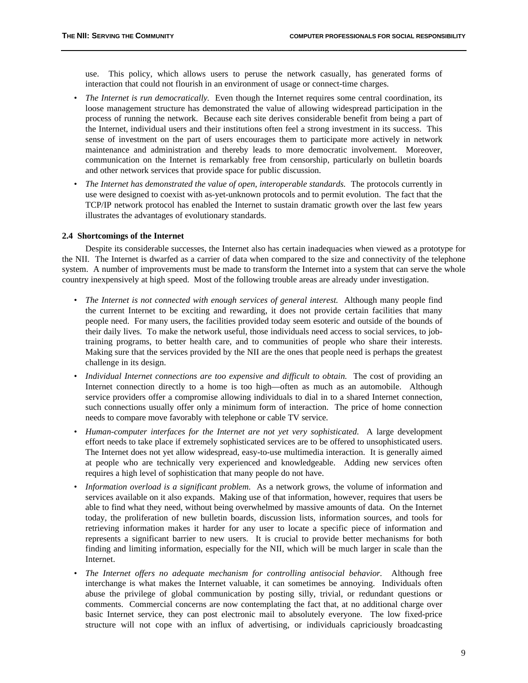use. This policy, which allows users to peruse the network casually, has generated forms of interaction that could not flourish in an environment of usage or connect-time charges.

- *The Internet is run democratically.* Even though the Internet requires some central coordination, its loose management structure has demonstrated the value of allowing widespread participation in the process of running the network. Because each site derives considerable benefit from being a part of the Internet, individual users and their institutions often feel a strong investment in its success. This sense of investment on the part of users encourages them to participate more actively in network maintenance and administration and thereby leads to more democratic involvement. Moreover, communication on the Internet is remarkably free from censorship, particularly on bulletin boards and other network services that provide space for public discussion.
- *The Internet has demonstrated the value of open, interoperable standards.* The protocols currently in use were designed to coexist with as-yet-unknown protocols and to permit evolution. The fact that the TCP/IP network protocol has enabled the Internet to sustain dramatic growth over the last few years illustrates the advantages of evolutionary standards.

#### **2.4 Shortcomings of the Internet**

Despite its considerable successes, the Internet also has certain inadequacies when viewed as a prototype for the NII. The Internet is dwarfed as a carrier of data when compared to the size and connectivity of the telephone system. A number of improvements must be made to transform the Internet into a system that can serve the whole country inexpensively at high speed. Most of the following trouble areas are already under investigation.

- *The Internet is not connected with enough services of general interest.* Although many people find the current Internet to be exciting and rewarding, it does not provide certain facilities that many people need. For many users, the facilities provided today seem esoteric and outside of the bounds of their daily lives. To make the network useful, those individuals need access to social services, to jobtraining programs, to better health care, and to communities of people who share their interests. Making sure that the services provided by the NII are the ones that people need is perhaps the greatest challenge in its design.
- *Individual Internet connections are too expensive and difficult to obtain.* The cost of providing an Internet connection directly to a home is too high—often as much as an automobile. Although service providers offer a compromise allowing individuals to dial in to a shared Internet connection, such connections usually offer only a minimum form of interaction. The price of home connection needs to compare move favorably with telephone or cable TV service.
- *Human-computer interfaces for the Internet are not yet very sophisticated.* A large development effort needs to take place if extremely sophisticated services are to be offered to unsophisticated users. The Internet does not yet allow widespread, easy-to-use multimedia interaction. It is generally aimed at people who are technically very experienced and knowledgeable. Adding new services often requires a high level of sophistication that many people do not have.
- *Information overload is a significant problem.* As a network grows, the volume of information and services available on it also expands. Making use of that information, however, requires that users be able to find what they need, without being overwhelmed by massive amounts of data. On the Internet today, the proliferation of new bulletin boards, discussion lists, information sources, and tools for retrieving information makes it harder for any user to locate a specific piece of information and represents a significant barrier to new users. It is crucial to provide better mechanisms for both finding and limiting information, especially for the NII, which will be much larger in scale than the Internet.
- *The Internet offers no adequate mechanism for controlling antisocial behavior.* Although free interchange is what makes the Internet valuable, it can sometimes be annoying. Individuals often abuse the privilege of global communication by posting silly, trivial, or redundant questions or comments. Commercial concerns are now contemplating the fact that, at no additional charge over basic Internet service, they can post electronic mail to absolutely everyone. The low fixed-price structure will not cope with an influx of advertising, or individuals capriciously broadcasting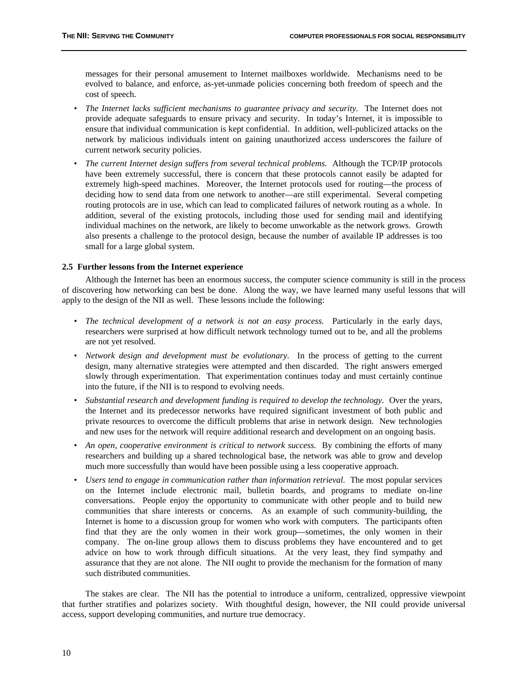messages for their personal amusement to Internet mailboxes worldwide. Mechanisms need to be evolved to balance, and enforce, as-yet-unmade policies concerning both freedom of speech and the cost of speech.

- *The Internet lacks sufficient mechanisms to guarantee privacy and security.* The Internet does not provide adequate safeguards to ensure privacy and security. In today's Internet, it is impossible to ensure that individual communication is kept confidential. In addition, well-publicized attacks on the network by malicious individuals intent on gaining unauthorized access underscores the failure of current network security policies.
- *The current Internet design suffers from several technical problems.* Although the TCP/IP protocols have been extremely successful, there is concern that these protocols cannot easily be adapted for extremely high-speed machines. Moreover, the Internet protocols used for routing—the process of deciding how to send data from one network to another—are still experimental. Several competing routing protocols are in use, which can lead to complicated failures of network routing as a whole. In addition, several of the existing protocols, including those used for sending mail and identifying individual machines on the network, are likely to become unworkable as the network grows. Growth also presents a challenge to the protocol design, because the number of available IP addresses is too small for a large global system.

#### **2.5 Further lessons from the Internet experience**

Although the Internet has been an enormous success, the computer science community is still in the process of discovering how networking can best be done. Along the way, we have learned many useful lessons that will apply to the design of the NII as well. These lessons include the following:

- *The technical development of a network is not an easy process.* Particularly in the early days, researchers were surprised at how difficult network technology turned out to be, and all the problems are not yet resolved.
- *Network design and development must be evolutionary.* In the process of getting to the current design, many alternative strategies were attempted and then discarded. The right answers emerged slowly through experimentation. That experimentation continues today and must certainly continue into the future, if the NII is to respond to evolving needs.
- *Substantial research and development funding is required to develop the technology.* Over the years, the Internet and its predecessor networks have required significant investment of both public and private resources to overcome the difficult problems that arise in network design. New technologies and new uses for the network will require additional research and development on an ongoing basis.
- *An open, cooperative environment is critical to network success.* By combining the efforts of many researchers and building up a shared technological base, the network was able to grow and develop much more successfully than would have been possible using a less cooperative approach.
- *Users tend to engage in communication rather than information retrieval.* The most popular services on the Internet include electronic mail, bulletin boards, and programs to mediate on-line conversations. People enjoy the opportunity to communicate with other people and to build new communities that share interests or concerns. As an example of such community-building, the Internet is home to a discussion group for women who work with computers. The participants often find that they are the only women in their work group—sometimes, the only women in their company. The on-line group allows them to discuss problems they have encountered and to get advice on how to work through difficult situations. At the very least, they find sympathy and assurance that they are not alone. The NII ought to provide the mechanism for the formation of many such distributed communities.

The stakes are clear. The NII has the potential to introduce a uniform, centralized, oppressive viewpoint that further stratifies and polarizes society. With thoughtful design, however, the NII could provide universal access, support developing communities, and nurture true democracy.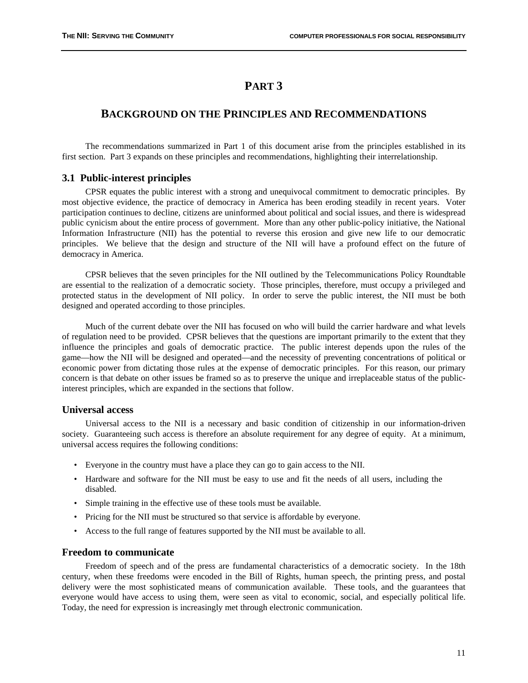# **PART 3**

## **BACKGROUND ON THE PRINCIPLES AND RECOMMENDATIONS**

The recommendations summarized in Part 1 of this document arise from the principles established in its first section. Part 3 expands on these principles and recommendations, highlighting their interrelationship.

### **3.1 Public-interest principles**

CPSR equates the public interest with a strong and unequivocal commitment to democratic principles. By most objective evidence, the practice of democracy in America has been eroding steadily in recent years. Voter participation continues to decline, citizens are uninformed about political and social issues, and there is widespread public cynicism about the entire process of government. More than any other public-policy initiative, the National Information Infrastructure (NII) has the potential to reverse this erosion and give new life to our democratic principles. We believe that the design and structure of the NII will have a profound effect on the future of democracy in America.

CPSR believes that the seven principles for the NII outlined by the Telecommunications Policy Roundtable are essential to the realization of a democratic society. Those principles, therefore, must occupy a privileged and protected status in the development of NII policy. In order to serve the public interest, the NII must be both designed and operated according to those principles.

Much of the current debate over the NII has focused on who will build the carrier hardware and what levels of regulation need to be provided. CPSR believes that the questions are important primarily to the extent that they influence the principles and goals of democratic practice. The public interest depends upon the rules of the game—how the NII will be designed and operated—and the necessity of preventing concentrations of political or economic power from dictating those rules at the expense of democratic principles. For this reason, our primary concern is that debate on other issues be framed so as to preserve the unique and irreplaceable status of the publicinterest principles, which are expanded in the sections that follow.

### **Universal access**

Universal access to the NII is a necessary and basic condition of citizenship in our information-driven society. Guaranteeing such access is therefore an absolute requirement for any degree of equity. At a minimum, universal access requires the following conditions:

- Everyone in the country must have a place they can go to gain access to the NII.
- Hardware and software for the NII must be easy to use and fit the needs of all users, including the disabled.
- Simple training in the effective use of these tools must be available.
- Pricing for the NII must be structured so that service is affordable by everyone.
- Access to the full range of features supported by the NII must be available to all.

### **Freedom to communicate**

Freedom of speech and of the press are fundamental characteristics of a democratic society. In the 18th century, when these freedoms were encoded in the Bill of Rights, human speech, the printing press, and postal delivery were the most sophisticated means of communication available. These tools, and the guarantees that everyone would have access to using them, were seen as vital to economic, social, and especially political life. Today, the need for expression is increasingly met through electronic communication.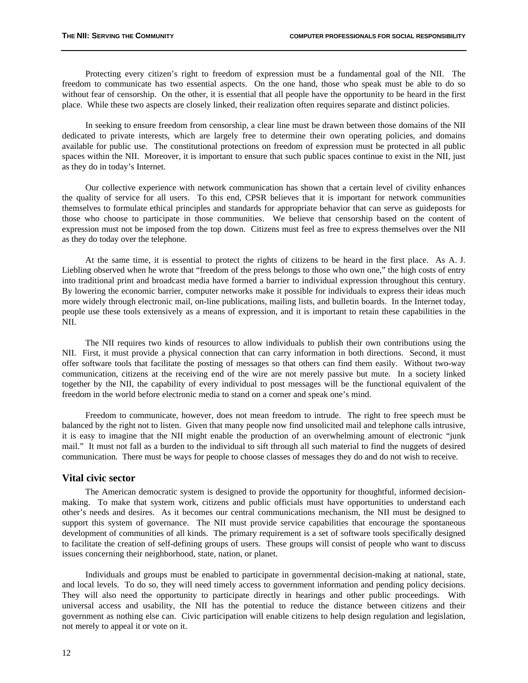Protecting every citizen's right to freedom of expression must be a fundamental goal of the NII. The freedom to communicate has two essential aspects. On the one hand, those who speak must be able to do so without fear of censorship. On the other, it is essential that all people have the opportunity to be heard in the first place. While these two aspects are closely linked, their realization often requires separate and distinct policies.

In seeking to ensure freedom from censorship, a clear line must be drawn between those domains of the NII dedicated to private interests, which are largely free to determine their own operating policies, and domains available for public use. The constitutional protections on freedom of expression must be protected in all public spaces within the NII. Moreover, it is important to ensure that such public spaces continue to exist in the NII, just as they do in today's Internet.

Our collective experience with network communication has shown that a certain level of civility enhances the quality of service for all users. To this end, CPSR believes that it is important for network communities themselves to formulate ethical principles and standards for appropriate behavior that can serve as guideposts for those who choose to participate in those communities. We believe that censorship based on the content of expression must not be imposed from the top down. Citizens must feel as free to express themselves over the NII as they do today over the telephone.

At the same time, it is essential to protect the rights of citizens to be heard in the first place. As A. J. Liebling observed when he wrote that "freedom of the press belongs to those who own one," the high costs of entry into traditional print and broadcast media have formed a barrier to individual expression throughout this century. By lowering the economic barrier, computer networks make it possible for individuals to express their ideas much more widely through electronic mail, on-line publications, mailing lists, and bulletin boards. In the Internet today, people use these tools extensively as a means of expression, and it is important to retain these capabilities in the NII.

The NII requires two kinds of resources to allow individuals to publish their own contributions using the NII. First, it must provide a physical connection that can carry information in both directions. Second, it must offer software tools that facilitate the posting of messages so that others can find them easily. Without two-way communication, citizens at the receiving end of the wire are not merely passive but mute. In a society linked together by the NII, the capability of every individual to post messages will be the functional equivalent of the freedom in the world before electronic media to stand on a corner and speak one's mind.

Freedom to communicate, however, does not mean freedom to intrude. The right to free speech must be balanced by the right not to listen. Given that many people now find unsolicited mail and telephone calls intrusive, it is easy to imagine that the NII might enable the production of an overwhelming amount of electronic "junk mail." It must not fall as a burden to the individual to sift through all such material to find the nuggets of desired communication. There must be ways for people to choose classes of messages they do and do not wish to receive.

#### **Vital civic sector**

The American democratic system is designed to provide the opportunity for thoughtful, informed decisionmaking. To make that system work, citizens and public officials must have opportunities to understand each other's needs and desires. As it becomes our central communications mechanism, the NII must be designed to support this system of governance. The NII must provide service capabilities that encourage the spontaneous development of communities of all kinds. The primary requirement is a set of software tools specifically designed to facilitate the creation of self-defining groups of users. These groups will consist of people who want to discuss issues concerning their neighborhood, state, nation, or planet.

Individuals and groups must be enabled to participate in governmental decision-making at national, state, and local levels. To do so, they will need timely access to government information and pending policy decisions. They will also need the opportunity to participate directly in hearings and other public proceedings. With universal access and usability, the NII has the potential to reduce the distance between citizens and their government as nothing else can. Civic participation will enable citizens to help design regulation and legislation, not merely to appeal it or vote on it.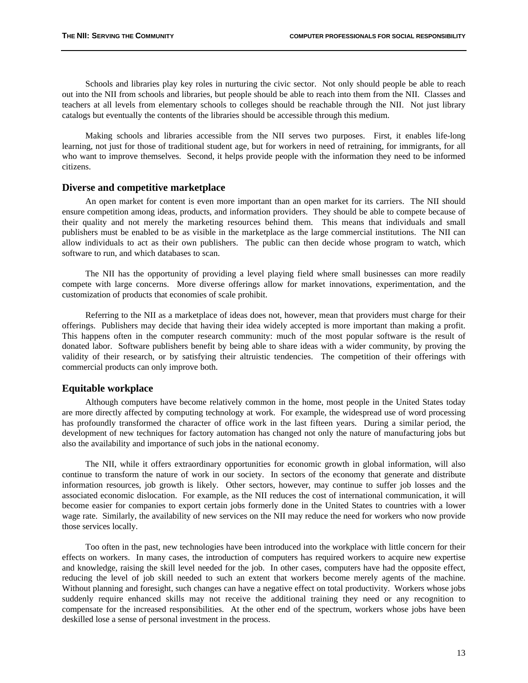Schools and libraries play key roles in nurturing the civic sector. Not only should people be able to reach out into the NII from schools and libraries, but people should be able to reach into them from the NII. Classes and teachers at all levels from elementary schools to colleges should be reachable through the NII. Not just library catalogs but eventually the contents of the libraries should be accessible through this medium.

Making schools and libraries accessible from the NII serves two purposes. First, it enables life-long learning, not just for those of traditional student age, but for workers in need of retraining, for immigrants, for all who want to improve themselves. Second, it helps provide people with the information they need to be informed citizens.

### **Diverse and competitive marketplace**

An open market for content is even more important than an open market for its carriers. The NII should ensure competition among ideas, products, and information providers. They should be able to compete because of their quality and not merely the marketing resources behind them. This means that individuals and small publishers must be enabled to be as visible in the marketplace as the large commercial institutions. The NII can allow individuals to act as their own publishers. The public can then decide whose program to watch, which software to run, and which databases to scan.

The NII has the opportunity of providing a level playing field where small businesses can more readily compete with large concerns. More diverse offerings allow for market innovations, experimentation, and the customization of products that economies of scale prohibit.

Referring to the NII as a marketplace of ideas does not, however, mean that providers must charge for their offerings. Publishers may decide that having their idea widely accepted is more important than making a profit. This happens often in the computer research community: much of the most popular software is the result of donated labor. Software publishers benefit by being able to share ideas with a wider community, by proving the validity of their research, or by satisfying their altruistic tendencies. The competition of their offerings with commercial products can only improve both.

### **Equitable workplace**

Although computers have become relatively common in the home, most people in the United States today are more directly affected by computing technology at work. For example, the widespread use of word processing has profoundly transformed the character of office work in the last fifteen years. During a similar period, the development of new techniques for factory automation has changed not only the nature of manufacturing jobs but also the availability and importance of such jobs in the national economy.

The NII, while it offers extraordinary opportunities for economic growth in global information, will also continue to transform the nature of work in our society. In sectors of the economy that generate and distribute information resources, job growth is likely. Other sectors, however, may continue to suffer job losses and the associated economic dislocation. For example, as the NII reduces the cost of international communication, it will become easier for companies to export certain jobs formerly done in the United States to countries with a lower wage rate. Similarly, the availability of new services on the NII may reduce the need for workers who now provide those services locally.

Too often in the past, new technologies have been introduced into the workplace with little concern for their effects on workers. In many cases, the introduction of computers has required workers to acquire new expertise and knowledge, raising the skill level needed for the job. In other cases, computers have had the opposite effect, reducing the level of job skill needed to such an extent that workers become merely agents of the machine. Without planning and foresight, such changes can have a negative effect on total productivity. Workers whose jobs suddenly require enhanced skills may not receive the additional training they need or any recognition to compensate for the increased responsibilities. At the other end of the spectrum, workers whose jobs have been deskilled lose a sense of personal investment in the process.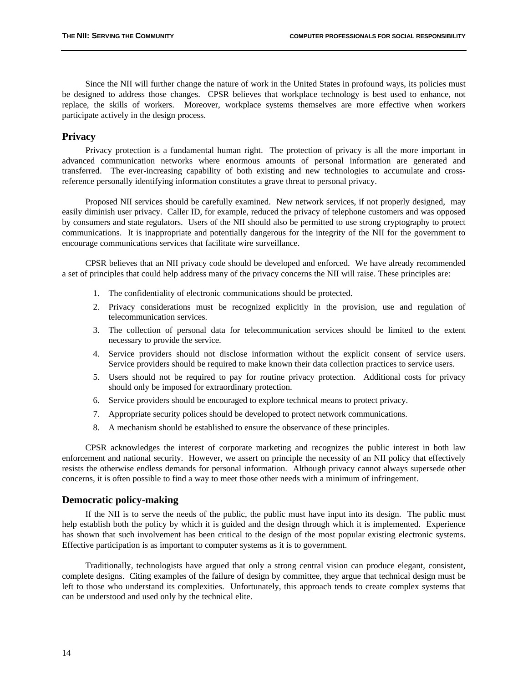Since the NII will further change the nature of work in the United States in profound ways, its policies must be designed to address those changes. CPSR believes that workplace technology is best used to enhance, not replace, the skills of workers. Moreover, workplace systems themselves are more effective when workers participate actively in the design process.

### **Privacy**

Privacy protection is a fundamental human right. The protection of privacy is all the more important in advanced communication networks where enormous amounts of personal information are generated and transferred. The ever-increasing capability of both existing and new technologies to accumulate and crossreference personally identifying information constitutes a grave threat to personal privacy.

Proposed NII services should be carefully examined. New network services, if not properly designed, may easily diminish user privacy. Caller ID, for example, reduced the privacy of telephone customers and was opposed by consumers and state regulators. Users of the NII should also be permitted to use strong cryptography to protect communications. It is inappropriate and potentially dangerous for the integrity of the NII for the government to encourage communications services that facilitate wire surveillance.

CPSR believes that an NII privacy code should be developed and enforced. We have already recommended a set of principles that could help address many of the privacy concerns the NII will raise. These principles are:

- 1. The confidentiality of electronic communications should be protected.
- 2. Privacy considerations must be recognized explicitly in the provision, use and regulation of telecommunication services.
- 3. The collection of personal data for telecommunication services should be limited to the extent necessary to provide the service.
- 4. Service providers should not disclose information without the explicit consent of service users. Service providers should be required to make known their data collection practices to service users.
- 5. Users should not be required to pay for routine privacy protection. Additional costs for privacy should only be imposed for extraordinary protection.
- 6. Service providers should be encouraged to explore technical means to protect privacy.
- 7. Appropriate security polices should be developed to protect network communications.
- 8. A mechanism should be established to ensure the observance of these principles.

CPSR acknowledges the interest of corporate marketing and recognizes the public interest in both law enforcement and national security. However, we assert on principle the necessity of an NII policy that effectively resists the otherwise endless demands for personal information. Although privacy cannot always supersede other concerns, it is often possible to find a way to meet those other needs with a minimum of infringement.

### **Democratic policy-making**

If the NII is to serve the needs of the public, the public must have input into its design. The public must help establish both the policy by which it is guided and the design through which it is implemented. Experience has shown that such involvement has been critical to the design of the most popular existing electronic systems. Effective participation is as important to computer systems as it is to government.

Traditionally, technologists have argued that only a strong central vision can produce elegant, consistent, complete designs. Citing examples of the failure of design by committee, they argue that technical design must be left to those who understand its complexities. Unfortunately, this approach tends to create complex systems that can be understood and used only by the technical elite.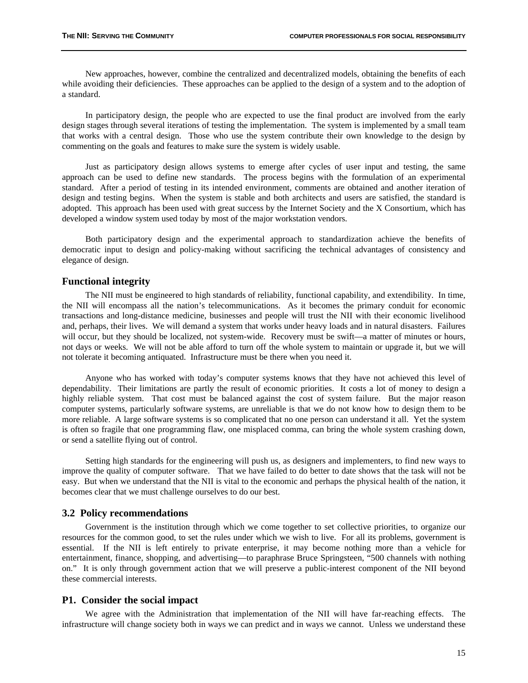New approaches, however, combine the centralized and decentralized models, obtaining the benefits of each while avoiding their deficiencies. These approaches can be applied to the design of a system and to the adoption of a standard.

In participatory design, the people who are expected to use the final product are involved from the early design stages through several iterations of testing the implementation. The system is implemented by a small team that works with a central design. Those who use the system contribute their own knowledge to the design by commenting on the goals and features to make sure the system is widely usable.

Just as participatory design allows systems to emerge after cycles of user input and testing, the same approach can be used to define new standards. The process begins with the formulation of an experimental standard. After a period of testing in its intended environment, comments are obtained and another iteration of design and testing begins. When the system is stable and both architects and users are satisfied, the standard is adopted. This approach has been used with great success by the Internet Society and the X Consortium, which has developed a window system used today by most of the major workstation vendors.

Both participatory design and the experimental approach to standardization achieve the benefits of democratic input to design and policy-making without sacrificing the technical advantages of consistency and elegance of design.

### **Functional integrity**

The NII must be engineered to high standards of reliability, functional capability, and extendibility. In time, the NII will encompass all the nation's telecommunications. As it becomes the primary conduit for economic transactions and long-distance medicine, businesses and people will trust the NII with their economic livelihood and, perhaps, their lives. We will demand a system that works under heavy loads and in natural disasters. Failures will occur, but they should be localized, not system-wide. Recovery must be swift—a matter of minutes or hours, not days or weeks. We will not be able afford to turn off the whole system to maintain or upgrade it, but we will not tolerate it becoming antiquated. Infrastructure must be there when you need it.

Anyone who has worked with today's computer systems knows that they have not achieved this level of dependability. Their limitations are partly the result of economic priorities. It costs a lot of money to design a highly reliable system. That cost must be balanced against the cost of system failure. But the major reason computer systems, particularly software systems, are unreliable is that we do not know how to design them to be more reliable. A large software systems is so complicated that no one person can understand it all. Yet the system is often so fragile that one programming flaw, one misplaced comma, can bring the whole system crashing down, or send a satellite flying out of control.

Setting high standards for the engineering will push us, as designers and implementers, to find new ways to improve the quality of computer software. That we have failed to do better to date shows that the task will not be easy. But when we understand that the NII is vital to the economic and perhaps the physical health of the nation, it becomes clear that we must challenge ourselves to do our best.

#### **3.2 Policy recommendations**

Government is the institution through which we come together to set collective priorities, to organize our resources for the common good, to set the rules under which we wish to live. For all its problems, government is essential. If the NII is left entirely to private enterprise, it may become nothing more than a vehicle for entertainment, finance, shopping, and advertising—to paraphrase Bruce Springsteen, "500 channels with nothing on." It is only through government action that we will preserve a public-interest component of the NII beyond these commercial interests.

#### **P1. Consider the social impact**

We agree with the Administration that implementation of the NII will have far-reaching effects. The infrastructure will change society both in ways we can predict and in ways we cannot. Unless we understand these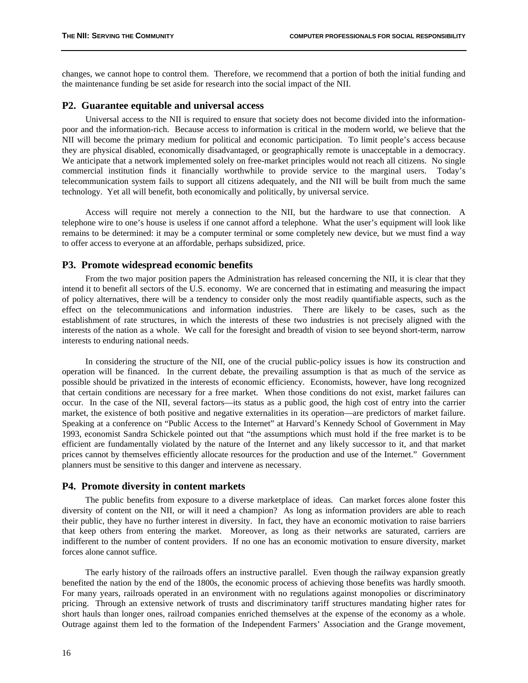changes, we cannot hope to control them. Therefore, we recommend that a portion of both the initial funding and the maintenance funding be set aside for research into the social impact of the NII.

### **P2. Guarantee equitable and universal access**

Universal access to the NII is required to ensure that society does not become divided into the informationpoor and the information-rich. Because access to information is critical in the modern world, we believe that the NII will become the primary medium for political and economic participation. To limit people's access because they are physical disabled, economically disadvantaged, or geographically remote is unacceptable in a democracy. We anticipate that a network implemented solely on free-market principles would not reach all citizens. No single commercial institution finds it financially worthwhile to provide service to the marginal users. Today's telecommunication system fails to support all citizens adequately, and the NII will be built from much the same technology. Yet all will benefit, both economically and politically, by universal service.

Access will require not merely a connection to the NII, but the hardware to use that connection. A telephone wire to one's house is useless if one cannot afford a telephone. What the user's equipment will look like remains to be determined: it may be a computer terminal or some completely new device, but we must find a way to offer access to everyone at an affordable, perhaps subsidized, price.

### **P3. Promote widespread economic benefits**

From the two major position papers the Administration has released concerning the NII, it is clear that they intend it to benefit all sectors of the U.S. economy. We are concerned that in estimating and measuring the impact of policy alternatives, there will be a tendency to consider only the most readily quantifiable aspects, such as the effect on the telecommunications and information industries. There are likely to be cases, such as the establishment of rate structures, in which the interests of these two industries is not precisely aligned with the interests of the nation as a whole. We call for the foresight and breadth of vision to see beyond short-term, narrow interests to enduring national needs.

In considering the structure of the NII, one of the crucial public-policy issues is how its construction and operation will be financed. In the current debate, the prevailing assumption is that as much of the service as possible should be privatized in the interests of economic efficiency. Economists, however, have long recognized that certain conditions are necessary for a free market. When those conditions do not exist, market failures can occur. In the case of the NII, several factors—its status as a public good, the high cost of entry into the carrier market, the existence of both positive and negative externalities in its operation—are predictors of market failure. Speaking at a conference on "Public Access to the Internet" at Harvard's Kennedy School of Government in May 1993, economist Sandra Schickele pointed out that "the assumptions which must hold if the free market is to be efficient are fundamentally violated by the nature of the Internet and any likely successor to it, and that market prices cannot by themselves efficiently allocate resources for the production and use of the Internet." Government planners must be sensitive to this danger and intervene as necessary.

#### **P4. Promote diversity in content markets**

The public benefits from exposure to a diverse marketplace of ideas. Can market forces alone foster this diversity of content on the NII, or will it need a champion? As long as information providers are able to reach their public, they have no further interest in diversity. In fact, they have an economic motivation to raise barriers that keep others from entering the market. Moreover, as long as their networks are saturated, carriers are indifferent to the number of content providers. If no one has an economic motivation to ensure diversity, market forces alone cannot suffice.

The early history of the railroads offers an instructive parallel. Even though the railway expansion greatly benefited the nation by the end of the 1800s, the economic process of achieving those benefits was hardly smooth. For many years, railroads operated in an environment with no regulations against monopolies or discriminatory pricing. Through an extensive network of trusts and discriminatory tariff structures mandating higher rates for short hauls than longer ones, railroad companies enriched themselves at the expense of the economy as a whole. Outrage against them led to the formation of the Independent Farmers' Association and the Grange movement,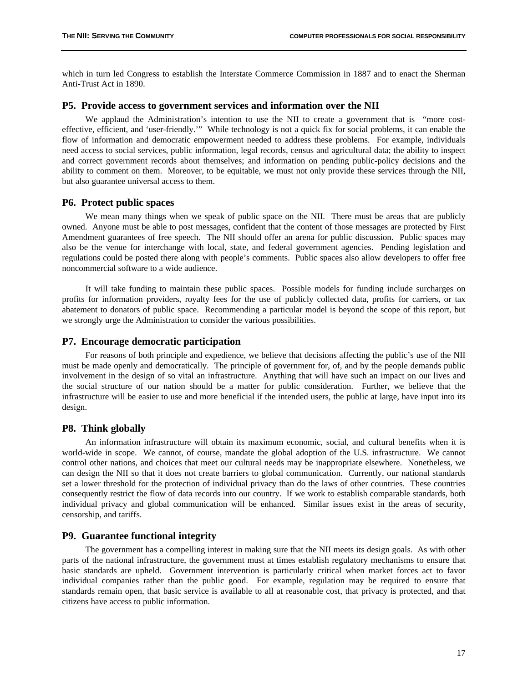which in turn led Congress to establish the Interstate Commerce Commission in 1887 and to enact the Sherman Anti-Trust Act in 1890.

#### **P5. Provide access to government services and information over the NII**

We applaud the Administration's intention to use the NII to create a government that is "more costeffective, efficient, and 'user-friendly.'" While technology is not a quick fix for social problems, it can enable the flow of information and democratic empowerment needed to address these problems. For example, individuals need access to social services, public information, legal records, census and agricultural data; the ability to inspect and correct government records about themselves; and information on pending public-policy decisions and the ability to comment on them. Moreover, to be equitable, we must not only provide these services through the NII, but also guarantee universal access to them.

#### **P6. Protect public spaces**

We mean many things when we speak of public space on the NII. There must be areas that are publicly owned. Anyone must be able to post messages, confident that the content of those messages are protected by First Amendment guarantees of free speech. The NII should offer an arena for public discussion. Public spaces may also be the venue for interchange with local, state, and federal government agencies. Pending legislation and regulations could be posted there along with people's comments. Public spaces also allow developers to offer free noncommercial software to a wide audience.

It will take funding to maintain these public spaces. Possible models for funding include surcharges on profits for information providers, royalty fees for the use of publicly collected data, profits for carriers, or tax abatement to donators of public space. Recommending a particular model is beyond the scope of this report, but we strongly urge the Administration to consider the various possibilities.

### **P7. Encourage democratic participation**

For reasons of both principle and expedience, we believe that decisions affecting the public's use of the NII must be made openly and democratically. The principle of government for, of, and by the people demands public involvement in the design of so vital an infrastructure. Anything that will have such an impact on our lives and the social structure of our nation should be a matter for public consideration. Further, we believe that the infrastructure will be easier to use and more beneficial if the intended users, the public at large, have input into its design.

#### **P8. Think globally**

An information infrastructure will obtain its maximum economic, social, and cultural benefits when it is world-wide in scope. We cannot, of course, mandate the global adoption of the U.S. infrastructure. We cannot control other nations, and choices that meet our cultural needs may be inappropriate elsewhere. Nonetheless, we can design the NII so that it does not create barriers to global communication. Currently, our national standards set a lower threshold for the protection of individual privacy than do the laws of other countries. These countries consequently restrict the flow of data records into our country. If we work to establish comparable standards, both individual privacy and global communication will be enhanced. Similar issues exist in the areas of security, censorship, and tariffs.

### **P9. Guarantee functional integrity**

The government has a compelling interest in making sure that the NII meets its design goals. As with other parts of the national infrastructure, the government must at times establish regulatory mechanisms to ensure that basic standards are upheld. Government intervention is particularly critical when market forces act to favor individual companies rather than the public good. For example, regulation may be required to ensure that standards remain open, that basic service is available to all at reasonable cost, that privacy is protected, and that citizens have access to public information.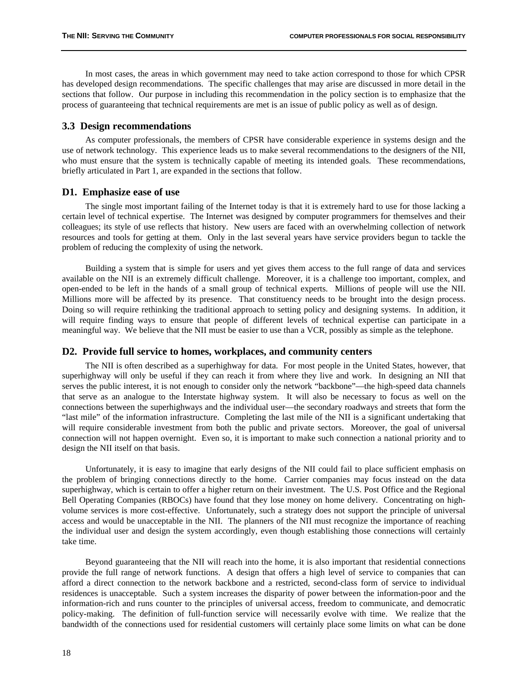In most cases, the areas in which government may need to take action correspond to those for which CPSR has developed design recommendations. The specific challenges that may arise are discussed in more detail in the sections that follow. Our purpose in including this recommendation in the policy section is to emphasize that the process of guaranteeing that technical requirements are met is an issue of public policy as well as of design.

#### **3.3 Design recommendations**

As computer professionals, the members of CPSR have considerable experience in systems design and the use of network technology. This experience leads us to make several recommendations to the designers of the NII, who must ensure that the system is technically capable of meeting its intended goals. These recommendations, briefly articulated in Part 1, are expanded in the sections that follow.

#### **D1. Emphasize ease of use**

The single most important failing of the Internet today is that it is extremely hard to use for those lacking a certain level of technical expertise. The Internet was designed by computer programmers for themselves and their colleagues; its style of use reflects that history. New users are faced with an overwhelming collection of network resources and tools for getting at them. Only in the last several years have service providers begun to tackle the problem of reducing the complexity of using the network.

Building a system that is simple for users and yet gives them access to the full range of data and services available on the NII is an extremely difficult challenge. Moreover, it is a challenge too important, complex, and open-ended to be left in the hands of a small group of technical experts. Millions of people will use the NII. Millions more will be affected by its presence. That constituency needs to be brought into the design process. Doing so will require rethinking the traditional approach to setting policy and designing systems. In addition, it will require finding ways to ensure that people of different levels of technical expertise can participate in a meaningful way. We believe that the NII must be easier to use than a VCR, possibly as simple as the telephone.

#### **D2. Provide full service to homes, workplaces, and community centers**

The NII is often described as a superhighway for data. For most people in the United States, however, that superhighway will only be useful if they can reach it from where they live and work. In designing an NII that serves the public interest, it is not enough to consider only the network "backbone"—the high-speed data channels that serve as an analogue to the Interstate highway system. It will also be necessary to focus as well on the connections between the superhighways and the individual user—the secondary roadways and streets that form the "last mile" of the information infrastructure. Completing the last mile of the NII is a significant undertaking that will require considerable investment from both the public and private sectors. Moreover, the goal of universal connection will not happen overnight. Even so, it is important to make such connection a national priority and to design the NII itself on that basis.

Unfortunately, it is easy to imagine that early designs of the NII could fail to place sufficient emphasis on the problem of bringing connections directly to the home. Carrier companies may focus instead on the data superhighway, which is certain to offer a higher return on their investment. The U.S. Post Office and the Regional Bell Operating Companies (RBOCs) have found that they lose money on home delivery. Concentrating on highvolume services is more cost-effective. Unfortunately, such a strategy does not support the principle of universal access and would be unacceptable in the NII. The planners of the NII must recognize the importance of reaching the individual user and design the system accordingly, even though establishing those connections will certainly take time.

Beyond guaranteeing that the NII will reach into the home, it is also important that residential connections provide the full range of network functions. A design that offers a high level of service to companies that can afford a direct connection to the network backbone and a restricted, second-class form of service to individual residences is unacceptable. Such a system increases the disparity of power between the information-poor and the information-rich and runs counter to the principles of universal access, freedom to communicate, and democratic policy-making. The definition of full-function service will necessarily evolve with time. We realize that the bandwidth of the connections used for residential customers will certainly place some limits on what can be done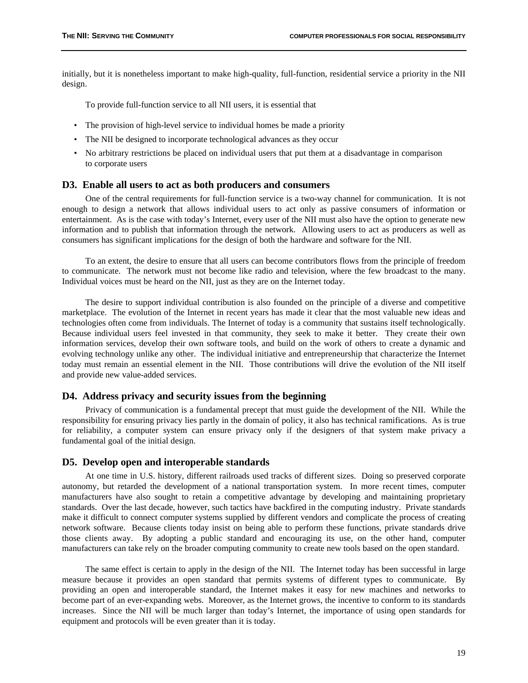initially, but it is nonetheless important to make high-quality, full-function, residential service a priority in the NII design.

To provide full-function service to all NII users, it is essential that

- The provision of high-level service to individual homes be made a priority
- The NII be designed to incorporate technological advances as they occur
- No arbitrary restrictions be placed on individual users that put them at a disadvantage in comparison to corporate users

### **D3. Enable all users to act as both producers and consumers**

One of the central requirements for full-function service is a two-way channel for communication. It is not enough to design a network that allows individual users to act only as passive consumers of information or entertainment. As is the case with today's Internet, every user of the NII must also have the option to generate new information and to publish that information through the network. Allowing users to act as producers as well as consumers has significant implications for the design of both the hardware and software for the NII.

To an extent, the desire to ensure that all users can become contributors flows from the principle of freedom to communicate. The network must not become like radio and television, where the few broadcast to the many. Individual voices must be heard on the NII, just as they are on the Internet today.

The desire to support individual contribution is also founded on the principle of a diverse and competitive marketplace. The evolution of the Internet in recent years has made it clear that the most valuable new ideas and technologies often come from individuals. The Internet of today is a community that sustains itself technologically. Because individual users feel invested in that community, they seek to make it better. They create their own information services, develop their own software tools, and build on the work of others to create a dynamic and evolving technology unlike any other. The individual initiative and entrepreneurship that characterize the Internet today must remain an essential element in the NII. Those contributions will drive the evolution of the NII itself and provide new value-added services.

### **D4. Address privacy and security issues from the beginning**

Privacy of communication is a fundamental precept that must guide the development of the NII. While the responsibility for ensuring privacy lies partly in the domain of policy, it also has technical ramifications. As is true for reliability, a computer system can ensure privacy only if the designers of that system make privacy a fundamental goal of the initial design.

#### **D5. Develop open and interoperable standards**

At one time in U.S. history, different railroads used tracks of different sizes. Doing so preserved corporate autonomy, but retarded the development of a national transportation system. In more recent times, computer manufacturers have also sought to retain a competitive advantage by developing and maintaining proprietary standards. Over the last decade, however, such tactics have backfired in the computing industry. Private standards make it difficult to connect computer systems supplied by different vendors and complicate the process of creating network software. Because clients today insist on being able to perform these functions, private standards drive those clients away. By adopting a public standard and encouraging its use, on the other hand, computer manufacturers can take rely on the broader computing community to create new tools based on the open standard.

The same effect is certain to apply in the design of the NII. The Internet today has been successful in large measure because it provides an open standard that permits systems of different types to communicate. By providing an open and interoperable standard, the Internet makes it easy for new machines and networks to become part of an ever-expanding webs. Moreover, as the Internet grows, the incentive to conform to its standards increases. Since the NII will be much larger than today's Internet, the importance of using open standards for equipment and protocols will be even greater than it is today.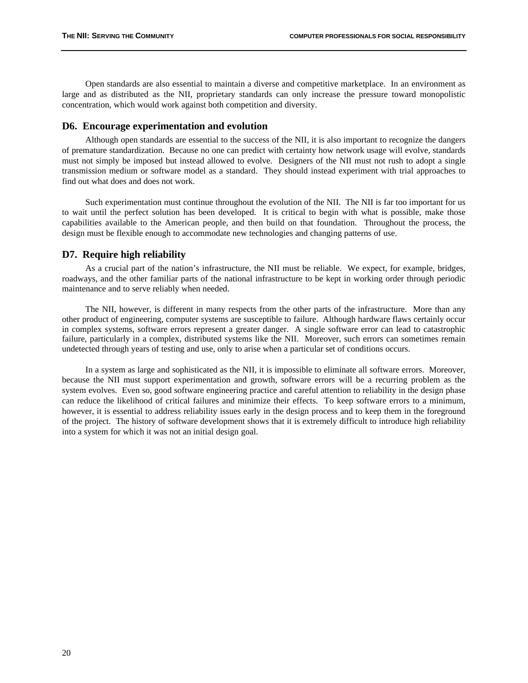Open standards are also essential to maintain a diverse and competitive marketplace. In an environment as large and as distributed as the NII, proprietary standards can only increase the pressure toward monopolistic concentration, which would work against both competition and diversity.

#### **D6. Encourage experimentation and evolution**

Although open standards are essential to the success of the NII, it is also important to recognize the dangers of premature standardization. Because no one can predict with certainty how network usage will evolve, standards must not simply be imposed but instead allowed to evolve. Designers of the NII must not rush to adopt a single transmission medium or software model as a standard. They should instead experiment with trial approaches to find out what does and does not work.

Such experimentation must continue throughout the evolution of the NII. The NII is far too important for us to wait until the perfect solution has been developed. It is critical to begin with what is possible, make those capabilities available to the American people, and then build on that foundation. Throughout the process, the design must be flexible enough to accommodate new technologies and changing patterns of use.

### **D7. Require high reliability**

As a crucial part of the nation's infrastructure, the NII must be reliable. We expect, for example, bridges, roadways, and the other familiar parts of the national infrastructure to be kept in working order through periodic maintenance and to serve reliably when needed.

The NII, however, is different in many respects from the other parts of the infrastructure. More than any other product of engineering, computer systems are susceptible to failure. Although hardware flaws certainly occur in complex systems, software errors represent a greater danger. A single software error can lead to catastrophic failure, particularly in a complex, distributed systems like the NII. Moreover, such errors can sometimes remain undetected through years of testing and use, only to arise when a particular set of conditions occurs.

In a system as large and sophisticated as the NII, it is impossible to eliminate all software errors. Moreover, because the NII must support experimentation and growth, software errors will be a recurring problem as the system evolves. Even so, good software engineering practice and careful attention to reliability in the design phase can reduce the likelihood of critical failures and minimize their effects. To keep software errors to a minimum, however, it is essential to address reliability issues early in the design process and to keep them in the foreground of the project. The history of software development shows that it is extremely difficult to introduce high reliability into a system for which it was not an initial design goal.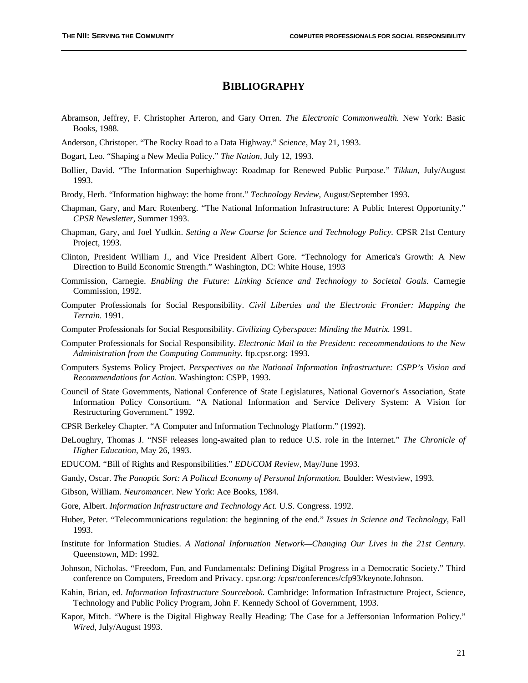### **BIBLIOGRAPHY**

- Abramson, Jeffrey, F. Christopher Arteron, and Gary Orren. *The Electronic Commonwealth.* New York: Basic Books, 1988.
- Anderson, Christoper. "The Rocky Road to a Data Highway." *Science*, May 21, 1993.
- Bogart, Leo. "Shaping a New Media Policy." *The Nation,* July 12, 1993.
- Bollier, David. "The Information Superhighway: Roadmap for Renewed Public Purpose." *Tikkun*, July/August 1993.
- Brody, Herb. "Information highway: the home front." *Technology Review,* August/September 1993.
- Chapman, Gary, and Marc Rotenberg. "The National Information Infrastructure: A Public Interest Opportunity." *CPSR Newsletter,* Summer 1993.
- Chapman, Gary, and Joel Yudkin. *Setting a New Course for Science and Technology Policy.* CPSR 21st Century Project, 1993.
- Clinton, President William J., and Vice President Albert Gore. "Technology for America's Growth: A New Direction to Build Economic Strength." Washington, DC: White House, 1993
- Commission, Carnegie. *Enabling the Future: Linking Science and Technology to Societal Goals.* Carnegie Commission, 1992.
- Computer Professionals for Social Responsibility. *Civil Liberties and the Electronic Frontier: Mapping the Terrain.* 1991.
- Computer Professionals for Social Responsibility. *Civilizing Cyberspace: Minding the Matrix.* 1991.
- Computer Professionals for Social Responsibility. *Electronic Mail to the President: receommendations to the New Administration from the Computing Community.* ftp.cpsr.org: 1993.
- Computers Systems Policy Project. *Perspectives on the National Information Infrastructure: CSPP's Vision and Recommendations for Action.* Washington: CSPP, 1993.
- Council of State Governments, National Conference of State Legislatures, National Governor's Association, State Information Policy Consortium. "A National Information and Service Delivery System: A Vision for Restructuring Government." 1992.
- CPSR Berkeley Chapter. "A Computer and Information Technology Platform." (1992).
- DeLoughry, Thomas J. "NSF releases long-awaited plan to reduce U.S. role in the Internet." *The Chronicle of Higher Education*, May 26, 1993.
- EDUCOM. "Bill of Rights and Responsibilities." *EDUCOM Review,* May/June 1993.
- Gandy, Oscar. *The Panoptic Sort: A Politcal Economy of Personal Information.* Boulder: Westview, 1993.
- Gibson, William. *Neuromancer*. New York: Ace Books, 1984.
- Gore, Albert. *Information Infrastructure and Technology Act.* U.S. Congress. 1992.
- Huber, Peter. "Telecommunications regulation: the beginning of the end." *Issues in Science and Technology,* Fall 1993.
- Institute for Information Studies. *A National Information Network—Changing Our Lives in the 21st Century.* Queenstown, MD: 1992.
- Johnson, Nicholas. "Freedom, Fun, and Fundamentals: Defining Digital Progress in a Democratic Society." Third conference on Computers, Freedom and Privacy. cpsr.org: /cpsr/conferences/cfp93/keynote.Johnson.
- Kahin, Brian, ed. *Information Infrastructure Sourcebook.* Cambridge: Information Infrastructure Project, Science, Technology and Public Policy Program, John F. Kennedy School of Government, 1993.
- Kapor, Mitch. "Where is the Digital Highway Really Heading: The Case for a Jeffersonian Information Policy." *Wired*, July/August 1993.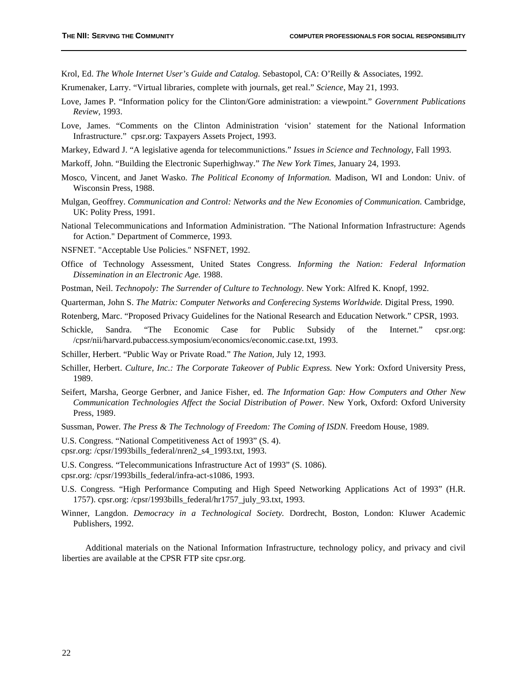Krol, Ed. *The Whole Internet User's Guide and Catalog.* Sebastopol, CA: O'Reilly & Associates, 1992.

Krumenaker, Larry. "Virtual libraries, complete with journals, get real." *Science*, May 21, 1993.

- Love, James P. "Information policy for the Clinton/Gore administration: a viewpoint." *Government Publications Review,* 1993.
- Love, James. "Comments on the Clinton Administration 'vision' statement for the National Information Infrastructure." cpsr.org: Taxpayers Assets Project, 1993.
- Markey, Edward J. "A legislative agenda for telecommunictions." *Issues in Science and Technology,* Fall 1993.
- Markoff, John. "Building the Electronic Superhighway." *The New York Times,* January 24, 1993.
- Mosco, Vincent, and Janet Wasko. *The Political Economy of Information.* Madison, WI and London: Univ. of Wisconsin Press, 1988.
- Mulgan, Geoffrey. *Communication and Control: Networks and the New Economies of Communication.* Cambridge, UK: Polity Press, 1991.
- National Telecommunications and Information Administration. "The National Information Infrastructure: Agends for Action." Department of Commerce, 1993.

NSFNET. "Acceptable Use Policies." NSFNET, 1992.

- Office of Technology Assessment, United States Congress. *Informing the Nation: Federal Information Dissemination in an Electronic Age.* 1988.
- Postman, Neil. *Technopoly: The Surrender of Culture to Technology.* New York: Alfred K. Knopf, 1992.
- Quarterman, John S. *The Matrix: Computer Networks and Conferecing Systems Worldwide.* Digital Press, 1990.
- Rotenberg, Marc. "Proposed Privacy Guidelines for the National Research and Education Network." CPSR, 1993.
- Schickle, Sandra. "The Economic Case for Public Subsidy of the Internet." cpsr.org: /cpsr/nii/harvard.pubaccess.symposium/economics/economic.case.txt, 1993.
- Schiller, Herbert. "Public Way or Private Road." *The Nation,* July 12, 1993.
- Schiller, Herbert. *Culture, Inc.: The Corporate Takeover of Public Express.* New York: Oxford University Press, 1989.
- Seifert, Marsha, George Gerbner, and Janice Fisher, ed. *The Information Gap: How Computers and Other New Communication Technologies Affect the Social Distribution of Power.* New York, Oxford: Oxford University Press, 1989.
- Sussman, Power. *The Press & The Technology of Freedom: The Coming of ISDN.* Freedom House, 1989.

U.S. Congress. "National Competitiveness Act of 1993" (S. 4).

cpsr.org: /cpsr/1993bills\_federal/nren2\_s4\_1993.txt, 1993.

U.S. Congress. "Telecommunications Infrastructure Act of 1993" (S. 1086).

cpsr.org: /cpsr/1993bills\_federal/infra-act-s1086, 1993.

- U.S. Congress. "High Performance Computing and High Speed Networking Applications Act of 1993" (H.R. 1757). cpsr.org: /cpsr/1993bills\_federal/hr1757\_july\_93.txt, 1993.
- Winner, Langdon. *Democracy in a Technological Society.* Dordrecht, Boston, London: Kluwer Academic Publishers, 1992.

Additional materials on the National Information Infrastructure, technology policy, and privacy and civil liberties are available at the CPSR FTP site cpsr.org.